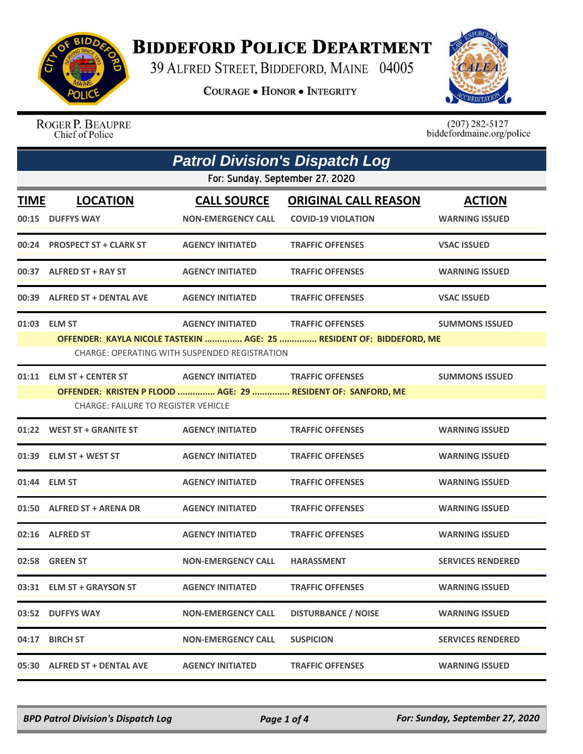

## **BIDDEFORD POLICE DEPARTMENT**

39 ALFRED STREET, BIDDEFORD, MAINE 04005

**COURAGE . HONOR . INTEGRITY** 



ROGER P. BEAUPRE Chief of Police

 $(207)$  282-5127<br>biddefordmaine.org/police

| <b>Patrol Division's Dispatch Log</b> |                                                                        |                                                                          |                                                                                                 |                                        |  |
|---------------------------------------|------------------------------------------------------------------------|--------------------------------------------------------------------------|-------------------------------------------------------------------------------------------------|----------------------------------------|--|
|                                       | For: Sunday, September 27, 2020                                        |                                                                          |                                                                                                 |                                        |  |
| <b>TIME</b>                           | <b>LOCATION</b><br>00:15 DUFFYS WAY                                    | <b>CALL SOURCE</b><br><b>NON-EMERGENCY CALL</b>                          | <b>ORIGINAL CALL REASON</b><br><b>COVID-19 VIOLATION</b>                                        | <b>ACTION</b><br><b>WARNING ISSUED</b> |  |
|                                       | 00:24 PROSPECT ST + CLARK ST                                           | <b>AGENCY INITIATED</b>                                                  | <b>TRAFFIC OFFENSES</b>                                                                         | <b>VSAC ISSUED</b>                     |  |
|                                       | 00:37 ALFRED ST + RAY ST                                               | <b>AGENCY INITIATED</b>                                                  | <b>TRAFFIC OFFENSES</b>                                                                         | <b>WARNING ISSUED</b>                  |  |
|                                       | 00:39 ALFRED ST + DENTAL AVE                                           | <b>AGENCY INITIATED</b>                                                  | <b>TRAFFIC OFFENSES</b>                                                                         | <b>VSAC ISSUED</b>                     |  |
|                                       | 01:03 ELM ST                                                           | <b>AGENCY INITIATED</b><br>CHARGE: OPERATING WITH SUSPENDED REGISTRATION | <b>TRAFFIC OFFENSES</b><br>OFFENDER: KAYLA NICOLE TASTEKIN  AGE: 25  RESIDENT OF: BIDDEFORD, ME | <b>SUMMONS ISSUED</b>                  |  |
|                                       | 01:11 ELM ST + CENTER ST<br><b>CHARGE: FAILURE TO REGISTER VEHICLE</b> | AGENCY INITIATED TRAFFIC OFFENSES                                        | OFFENDER: KRISTEN P FLOOD  AGE: 29  RESIDENT OF: SANFORD, ME                                    | <b>SUMMONS ISSUED</b>                  |  |
|                                       | 01:22 WEST ST + GRANITE ST                                             | <b>AGENCY INITIATED</b>                                                  | <b>TRAFFIC OFFENSES</b>                                                                         | <b>WARNING ISSUED</b>                  |  |
|                                       | 01:39 ELM ST + WEST ST                                                 | <b>AGENCY INITIATED</b>                                                  | <b>TRAFFIC OFFENSES</b>                                                                         | <b>WARNING ISSUED</b>                  |  |
| 01:44                                 | <b>ELM ST</b>                                                          | <b>AGENCY INITIATED</b>                                                  | <b>TRAFFIC OFFENSES</b>                                                                         | <b>WARNING ISSUED</b>                  |  |
|                                       | 01:50 ALFRED ST + ARENA DR                                             | <b>AGENCY INITIATED</b>                                                  | <b>TRAFFIC OFFENSES</b>                                                                         | <b>WARNING ISSUED</b>                  |  |
|                                       | 02:16 ALFRED ST                                                        | <b>AGENCY INITIATED</b>                                                  | <b>TRAFFIC OFFENSES</b>                                                                         | <b>WARNING ISSUED</b>                  |  |
|                                       | 02:58 GREEN ST                                                         | <b>NON-EMERGENCY CALL</b>                                                | <b>HARASSMENT</b>                                                                               | <b>SERVICES RENDERED</b>               |  |
|                                       | 03:31 ELM ST + GRAYSON ST                                              | <b>AGENCY INITIATED</b>                                                  | <b>TRAFFIC OFFENSES</b>                                                                         | <b>WARNING ISSUED</b>                  |  |
|                                       | 03:52 DUFFYS WAY                                                       | <b>NON-EMERGENCY CALL</b>                                                | <b>DISTURBANCE / NOISE</b>                                                                      | <b>WARNING ISSUED</b>                  |  |
| 04:17                                 | <b>BIRCH ST</b>                                                        | <b>NON-EMERGENCY CALL</b>                                                | <b>SUSPICION</b>                                                                                | <b>SERVICES RENDERED</b>               |  |
|                                       | 05:30 ALFRED ST + DENTAL AVE                                           | <b>AGENCY INITIATED</b>                                                  | <b>TRAFFIC OFFENSES</b>                                                                         | <b>WARNING ISSUED</b>                  |  |

*BPD Patrol Division's Dispatch Log Page 1 of 4 For: Sunday, September 27, 2020*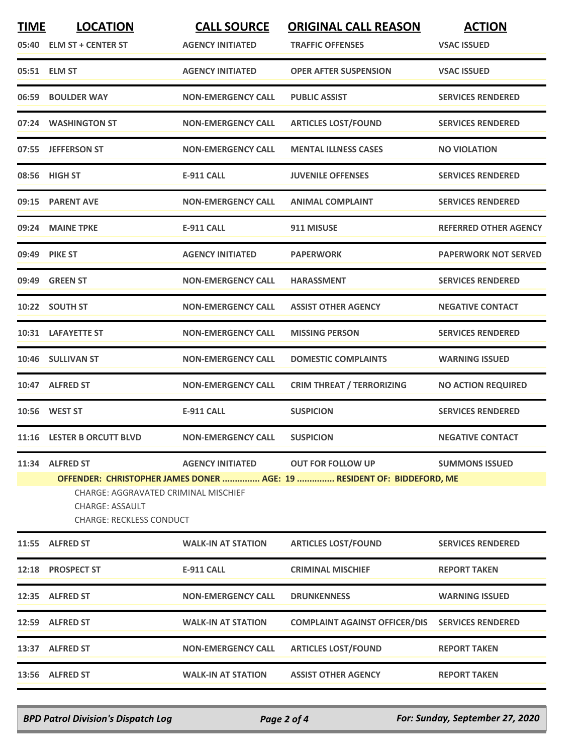| <b>TIME</b> | <b>LOCATION</b>                                                                                                                                                             | <b>CALL SOURCE</b>        | <b>ORIGINAL CALL REASON</b>          | <b>ACTION</b>                |  |
|-------------|-----------------------------------------------------------------------------------------------------------------------------------------------------------------------------|---------------------------|--------------------------------------|------------------------------|--|
|             | 05:40 ELM ST + CENTER ST                                                                                                                                                    | <b>AGENCY INITIATED</b>   | <b>TRAFFIC OFFENSES</b>              | <b>VSAC ISSUED</b>           |  |
|             | 05:51 ELM ST                                                                                                                                                                | <b>AGENCY INITIATED</b>   | <b>OPER AFTER SUSPENSION</b>         | <b>VSAC ISSUED</b>           |  |
|             | 06:59 BOULDER WAY                                                                                                                                                           | <b>NON-EMERGENCY CALL</b> | <b>PUBLIC ASSIST</b>                 | <b>SERVICES RENDERED</b>     |  |
|             | 07:24 WASHINGTON ST                                                                                                                                                         | <b>NON-EMERGENCY CALL</b> | <b>ARTICLES LOST/FOUND</b>           | <b>SERVICES RENDERED</b>     |  |
|             | 07:55 JEFFERSON ST                                                                                                                                                          | <b>NON-EMERGENCY CALL</b> | <b>MENTAL ILLNESS CASES</b>          | <b>NO VIOLATION</b>          |  |
|             | 08:56 HIGH ST                                                                                                                                                               | <b>E-911 CALL</b>         | <b>JUVENILE OFFENSES</b>             | <b>SERVICES RENDERED</b>     |  |
|             | 09:15 PARENT AVE                                                                                                                                                            | <b>NON-EMERGENCY CALL</b> | <b>ANIMAL COMPLAINT</b>              | <b>SERVICES RENDERED</b>     |  |
|             | 09:24 MAINE TPKE                                                                                                                                                            | <b>E-911 CALL</b>         | 911 MISUSE                           | <b>REFERRED OTHER AGENCY</b> |  |
|             | 09:49 PIKE ST                                                                                                                                                               | <b>AGENCY INITIATED</b>   | <b>PAPERWORK</b>                     | <b>PAPERWORK NOT SERVED</b>  |  |
|             | 09:49 GREEN ST                                                                                                                                                              | <b>NON-EMERGENCY CALL</b> | <b>HARASSMENT</b>                    | <b>SERVICES RENDERED</b>     |  |
|             | 10:22 SOUTH ST                                                                                                                                                              | <b>NON-EMERGENCY CALL</b> | <b>ASSIST OTHER AGENCY</b>           | <b>NEGATIVE CONTACT</b>      |  |
|             | 10:31 LAFAYETTE ST                                                                                                                                                          | <b>NON-EMERGENCY CALL</b> | <b>MISSING PERSON</b>                | <b>SERVICES RENDERED</b>     |  |
|             | 10:46 SULLIVAN ST                                                                                                                                                           | <b>NON-EMERGENCY CALL</b> | <b>DOMESTIC COMPLAINTS</b>           | <b>WARNING ISSUED</b>        |  |
|             | 10:47 ALFRED ST                                                                                                                                                             | <b>NON-EMERGENCY CALL</b> | <b>CRIM THREAT / TERRORIZING</b>     | <b>NO ACTION REQUIRED</b>    |  |
|             | 10:56 WEST ST                                                                                                                                                               | <b>E-911 CALL</b>         | <b>SUSPICION</b>                     | <b>SERVICES RENDERED</b>     |  |
|             | 11:16 LESTER B ORCUTT BLVD                                                                                                                                                  | <b>NON-EMERGENCY CALL</b> | <b>SUSPICION</b>                     | <b>NEGATIVE CONTACT</b>      |  |
|             | 11:34 ALFRED ST                                                                                                                                                             | <b>AGENCY INITIATED</b>   | <b>OUT FOR FOLLOW UP</b>             | <b>SUMMONS ISSUED</b>        |  |
|             | OFFENDER: CHRISTOPHER JAMES DONER  AGE: 19  RESIDENT OF: BIDDEFORD, ME<br>CHARGE: AGGRAVATED CRIMINAL MISCHIEF<br><b>CHARGE: ASSAULT</b><br><b>CHARGE: RECKLESS CONDUCT</b> |                           |                                      |                              |  |
|             | 11:55 ALFRED ST                                                                                                                                                             | <b>WALK-IN AT STATION</b> | <b>ARTICLES LOST/FOUND</b>           | <b>SERVICES RENDERED</b>     |  |
|             | 12:18 PROSPECT ST                                                                                                                                                           | <b>E-911 CALL</b>         | <b>CRIMINAL MISCHIEF</b>             | <b>REPORT TAKEN</b>          |  |
|             | 12:35 ALFRED ST                                                                                                                                                             | <b>NON-EMERGENCY CALL</b> | <b>DRUNKENNESS</b>                   | <b>WARNING ISSUED</b>        |  |
|             | 12:59 ALFRED ST                                                                                                                                                             | <b>WALK-IN AT STATION</b> | <b>COMPLAINT AGAINST OFFICER/DIS</b> | <b>SERVICES RENDERED</b>     |  |
|             | 13:37 ALFRED ST                                                                                                                                                             | <b>NON-EMERGENCY CALL</b> | <b>ARTICLES LOST/FOUND</b>           | <b>REPORT TAKEN</b>          |  |
|             | 13:56 ALFRED ST                                                                                                                                                             | <b>WALK-IN AT STATION</b> | <b>ASSIST OTHER AGENCY</b>           | <b>REPORT TAKEN</b>          |  |
|             |                                                                                                                                                                             |                           |                                      |                              |  |

*BPD Patrol Division's Dispatch Log Page 2 of 4 For: Sunday, September 27, 2020*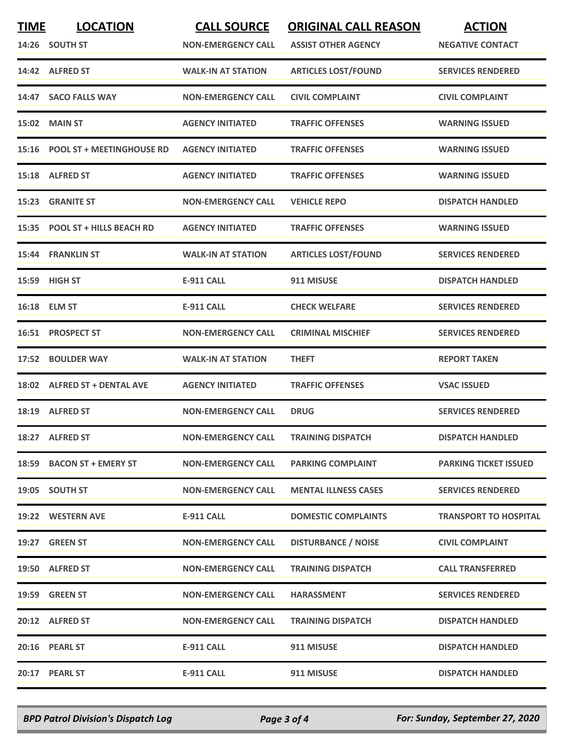| <b>TIME</b> | <b>LOCATION</b>                 | <b>CALL SOURCE</b>        | <b>ORIGINAL CALL REASON</b> | <b>ACTION</b>                |
|-------------|---------------------------------|---------------------------|-----------------------------|------------------------------|
|             | 14:26 SOUTH ST                  | <b>NON-EMERGENCY CALL</b> | <b>ASSIST OTHER AGENCY</b>  | <b>NEGATIVE CONTACT</b>      |
|             | 14:42 ALFRED ST                 | <b>WALK-IN AT STATION</b> | <b>ARTICLES LOST/FOUND</b>  | <b>SERVICES RENDERED</b>     |
| 14:47       | <b>SACO FALLS WAY</b>           | <b>NON-EMERGENCY CALL</b> | <b>CIVIL COMPLAINT</b>      | <b>CIVIL COMPLAINT</b>       |
|             | <b>15:02 MAIN ST</b>            | <b>AGENCY INITIATED</b>   | <b>TRAFFIC OFFENSES</b>     | <b>WARNING ISSUED</b>        |
|             | 15:16 POOL ST + MEETINGHOUSE RD | <b>AGENCY INITIATED</b>   | <b>TRAFFIC OFFENSES</b>     | <b>WARNING ISSUED</b>        |
| 15:18       | <b>ALFRED ST</b>                | <b>AGENCY INITIATED</b>   | <b>TRAFFIC OFFENSES</b>     | <b>WARNING ISSUED</b>        |
|             | 15:23 GRANITE ST                | <b>NON-EMERGENCY CALL</b> | <b>VEHICLE REPO</b>         | <b>DISPATCH HANDLED</b>      |
|             | 15:35 POOL ST + HILLS BEACH RD  | <b>AGENCY INITIATED</b>   | <b>TRAFFIC OFFENSES</b>     | <b>WARNING ISSUED</b>        |
|             | 15:44 FRANKLIN ST               | <b>WALK-IN AT STATION</b> | <b>ARTICLES LOST/FOUND</b>  | <b>SERVICES RENDERED</b>     |
|             | 15:59 HIGH ST                   | <b>E-911 CALL</b>         | 911 MISUSE                  | <b>DISPATCH HANDLED</b>      |
|             | 16:18 ELM ST                    | <b>E-911 CALL</b>         | <b>CHECK WELFARE</b>        | <b>SERVICES RENDERED</b>     |
|             | 16:51 PROSPECT ST               | <b>NON-EMERGENCY CALL</b> | <b>CRIMINAL MISCHIEF</b>    | <b>SERVICES RENDERED</b>     |
|             | 17:52 BOULDER WAY               | <b>WALK-IN AT STATION</b> | <b>THEFT</b>                | <b>REPORT TAKEN</b>          |
|             | 18:02 ALFRED ST + DENTAL AVE    | <b>AGENCY INITIATED</b>   | <b>TRAFFIC OFFENSES</b>     | <b>VSAC ISSUED</b>           |
|             | 18:19 ALFRED ST                 | <b>NON-EMERGENCY CALL</b> | <b>DRUG</b>                 | <b>SERVICES RENDERED</b>     |
|             | 18:27 ALFRED ST                 | <b>NON-EMERGENCY CALL</b> | <b>TRAINING DISPATCH</b>    | <b>DISPATCH HANDLED</b>      |
|             | 18:59 BACON ST + EMERY ST       | <b>NON-EMERGENCY CALL</b> | <b>PARKING COMPLAINT</b>    | <b>PARKING TICKET ISSUED</b> |
|             | 19:05 SOUTH ST                  | <b>NON-EMERGENCY CALL</b> | <b>MENTAL ILLNESS CASES</b> | <b>SERVICES RENDERED</b>     |
|             | 19:22 WESTERN AVE               | E-911 CALL                | <b>DOMESTIC COMPLAINTS</b>  | <b>TRANSPORT TO HOSPITAL</b> |
|             | 19:27 GREEN ST                  | <b>NON-EMERGENCY CALL</b> | <b>DISTURBANCE / NOISE</b>  | <b>CIVIL COMPLAINT</b>       |
|             | 19:50 ALFRED ST                 | <b>NON-EMERGENCY CALL</b> | <b>TRAINING DISPATCH</b>    | <b>CALL TRANSFERRED</b>      |
|             | 19:59 GREEN ST                  | <b>NON-EMERGENCY CALL</b> | <b>HARASSMENT</b>           | <b>SERVICES RENDERED</b>     |
|             | 20:12 ALFRED ST                 | <b>NON-EMERGENCY CALL</b> | <b>TRAINING DISPATCH</b>    | <b>DISPATCH HANDLED</b>      |
|             | 20:16 PEARL ST                  | E-911 CALL                | 911 MISUSE                  | <b>DISPATCH HANDLED</b>      |
|             | 20:17 PEARL ST                  | <b>E-911 CALL</b>         | 911 MISUSE                  | <b>DISPATCH HANDLED</b>      |

*BPD Patrol Division's Dispatch Log Page 3 of 4 For: Sunday, September 27, 2020*